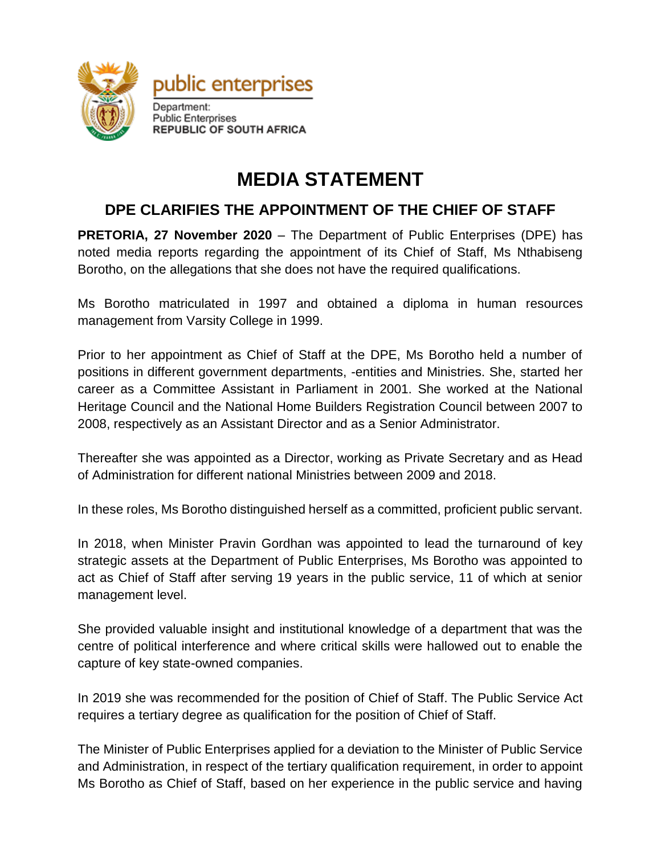

## **MEDIA STATEMENT**

## **DPE CLARIFIES THE APPOINTMENT OF THE CHIEF OF STAFF**

**PRETORIA, 27 November 2020** – The Department of Public Enterprises (DPE) has noted media reports regarding the appointment of its Chief of Staff, Ms Nthabiseng Borotho, on the allegations that she does not have the required qualifications.

Ms Borotho matriculated in 1997 and obtained a diploma in human resources management from Varsity College in 1999.

Prior to her appointment as Chief of Staff at the DPE, Ms Borotho held a number of positions in different government departments, -entities and Ministries. She, started her career as a Committee Assistant in Parliament in 2001. She worked at the National Heritage Council and the National Home Builders Registration Council between 2007 to 2008, respectively as an Assistant Director and as a Senior Administrator.

Thereafter she was appointed as a Director, working as Private Secretary and as Head of Administration for different national Ministries between 2009 and 2018.

In these roles, Ms Borotho distinguished herself as a committed, proficient public servant.

In 2018, when Minister Pravin Gordhan was appointed to lead the turnaround of key strategic assets at the Department of Public Enterprises, Ms Borotho was appointed to act as Chief of Staff after serving 19 years in the public service, 11 of which at senior management level.

She provided valuable insight and institutional knowledge of a department that was the centre of political interference and where critical skills were hallowed out to enable the capture of key state-owned companies.

In 2019 she was recommended for the position of Chief of Staff. The Public Service Act requires a tertiary degree as qualification for the position of Chief of Staff.

The Minister of Public Enterprises applied for a deviation to the Minister of Public Service and Administration, in respect of the tertiary qualification requirement, in order to appoint Ms Borotho as Chief of Staff, based on her experience in the public service and having